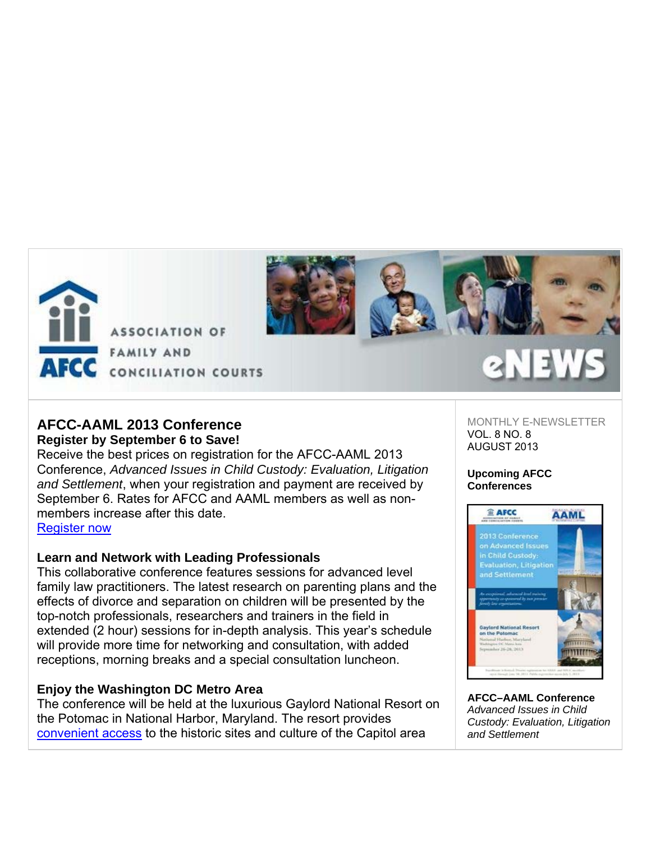

**ASSOCIATION OF FAMILY AND** AFCC CONCILIATION COURTS



# **AFCC-AAML 2013 Conference**

## **Register by September 6 to Save!**

Receive the best prices on registration for the AFCC-AAML 2013 Conference, *Advanced Issues in Child Custody: Evaluation, Litigation and Settlement*, when your registration and payment are received by September 6. Rates for AFCC and AAML members as well as nonmembers increase after this date.

Register now

# **Learn and Network with Leading Professionals**

This collaborative conference features sessions for advanced level family law practitioners. The latest research on parenting plans and the effects of divorce and separation on children will be presented by the top-notch professionals, researchers and trainers in the field in extended (2 hour) sessions for in-depth analysis. This year's schedule will provide more time for networking and consultation, with added receptions, morning breaks and a special consultation luncheon.

# **Enjoy the Washington DC Metro Area**

The conference will be held at the luxurious Gaylord National Resort on the Potomac in National Harbor, Maryland. The resort provides convenient access to the historic sites and culture of the Capitol area

MONTHLY E-NEWSLETTER VOL. 8 NO. 8 AUGUST 2013

### **Upcoming AFCC Conferences**



**AFCC–AAML Conference** *Advanced Issues in Child Custody: Evaluation, Litigation and Settlement*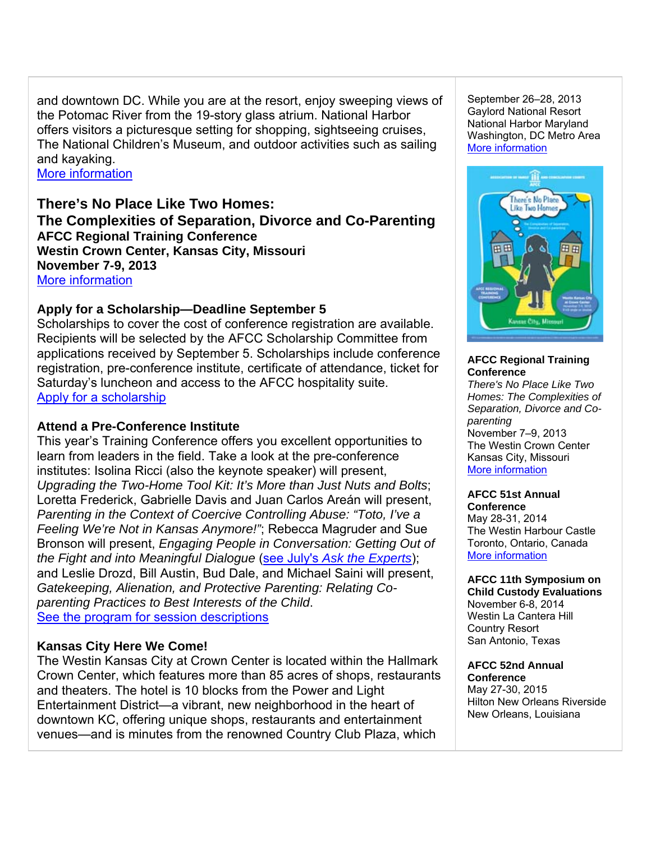and downtown DC. While you are at the resort, enjoy sweeping views of the Potomac River from the 19-story glass atrium. National Harbor offers visitors a picturesque setting for shopping, sightseeing cruises, The National Children's Museum, and outdoor activities such as sailing and kayaking.

More information

## **There's No Place Like Two Homes: The Complexities of Separation, Divorce and Co-Parenting AFCC Regional Training Conference Westin Crown Center, Kansas City, Missouri November 7-9, 2013**  More information

## **Apply for a Scholarship—Deadline September 5**

Scholarships to cover the cost of conference registration are available. Recipients will be selected by the AFCC Scholarship Committee from applications received by September 5. Scholarships include conference registration, pre-conference institute, certificate of attendance, ticket for Saturday's luncheon and access to the AFCC hospitality suite. Apply for a scholarship

## **Attend a Pre-Conference Institute**

This year's Training Conference offers you excellent opportunities to learn from leaders in the field. Take a look at the pre-conference institutes: Isolina Ricci (also the keynote speaker) will present, *Upgrading the Two-Home Tool Kit: It's More than Just Nuts and Bolts*; Loretta Frederick, Gabrielle Davis and Juan Carlos Areán will present, *Parenting in the Context of Coercive Controlling Abuse: "Toto, I've a Feeling We're Not in Kansas Anymore!"*; Rebecca Magruder and Sue Bronson will present, *Engaging People in Conversation: Getting Out of the Fight and into Meaningful Dialogue* (see July's *Ask the Experts*); and Leslie Drozd, Bill Austin, Bud Dale, and Michael Saini will present, *Gatekeeping, Alienation, and Protective Parenting: Relating Coparenting Practices to Best Interests of the Child*. See the program for session descriptions

# **Kansas City Here We Come!**

The Westin Kansas City at Crown Center is located within the Hallmark Crown Center, which features more than 85 acres of shops, restaurants and theaters. The hotel is 10 blocks from the Power and Light Entertainment District—a vibrant, new neighborhood in the heart of downtown KC, offering unique shops, restaurants and entertainment venues—and is minutes from the renowned Country Club Plaza, which

September 26–28, 2013 Gaylord National Resort National Harbor Maryland Washington, DC Metro Area More information



### **AFCC Regional Training Conference**

*There's No Place Like Two Homes: The Complexities of Separation, Divorce and Coparenting*  November 7–9, 2013 The Westin Crown Center Kansas City, Missouri More information

### **AFCC 51st Annual Conference** May 28-31, 2014

The Westin Harbour Castle Toronto, Ontario, Canada More information

# **AFCC 11th Symposium on**

**Child Custody Evaluations** November 6-8, 2014 Westin La Cantera Hill Country Resort San Antonio, Texas

#### **AFCC 52nd Annual Conference** May 27-30, 2015 Hilton New Orleans Riverside New Orleans, Louisiana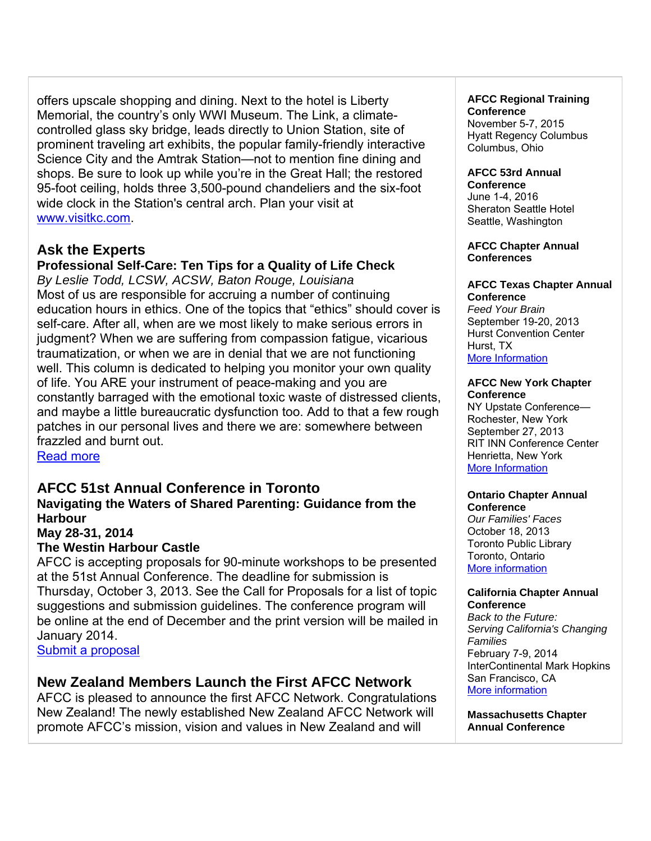offers upscale shopping and dining. Next to the hotel is Liberty Memorial, the country's only WWI Museum. The Link, a climatecontrolled glass sky bridge, leads directly to Union Station, site of prominent traveling art exhibits, the popular family-friendly interactive Science City and the Amtrak Station—not to mention fine dining and shops. Be sure to look up while you're in the Great Hall; the restored 95-foot ceiling, holds three 3,500-pound chandeliers and the six-foot wide clock in the Station's central arch. Plan your visit at www.visitkc.com.

# **Ask the Experts**

**Professional Self-Care: Ten Tips for a Quality of Life Check** *By Leslie Todd, LCSW, ACSW, Baton Rouge, Louisiana*

Most of us are responsible for accruing a number of continuing education hours in ethics. One of the topics that "ethics" should cover is self-care. After all, when are we most likely to make serious errors in judgment? When we are suffering from compassion fatigue, vicarious traumatization, or when we are in denial that we are not functioning well. This column is dedicated to helping you monitor your own quality of life. You ARE your instrument of peace-making and you are constantly barraged with the emotional toxic waste of distressed clients, and maybe a little bureaucratic dysfunction too. Add to that a few rough patches in our personal lives and there we are: somewhere between frazzled and burnt out.

Read more

## **AFCC 51st Annual Conference in Toronto**

## **Navigating the Waters of Shared Parenting: Guidance from the Harbour**

### **May 28-31, 2014**

### **The Westin Harbour Castle**

AFCC is accepting proposals for 90-minute workshops to be presented at the 51st Annual Conference. The deadline for submission is Thursday, October 3, 2013. See the Call for Proposals for a list of topic suggestions and submission guidelines. The conference program will be online at the end of December and the print version will be mailed in January 2014.

Submit a proposal

# **New Zealand Members Launch the First AFCC Network**

AFCC is pleased to announce the first AFCC Network. Congratulations New Zealand! The newly established New Zealand AFCC Network will promote AFCC's mission, vision and values in New Zealand and will

### **AFCC Regional Training Conference**

November 5-7, 2015 Hyatt Regency Columbus Columbus, Ohio

## **AFCC 53rd Annual**

**Conference** June 1-4, 2016 Sheraton Seattle Hotel Seattle, Washington

**AFCC Chapter Annual Conferences**

#### **AFCC Texas Chapter Annual Conference**

*Feed Your Brain* September 19-20, 2013 Hurst Convention Center Hurst, TX More Information

#### **AFCC New York Chapter Conference**

NY Upstate Conference— Rochester, New York September 27, 2013 RIT INN Conference Center Henrietta, New York More Information

#### **Ontario Chapter Annual Conference**

*Our Families' Faces*  October 18, 2013 Toronto Public Library Toronto, Ontario More information

#### **California Chapter Annual Conference**

*Back to the Future: Serving California's Changing Families* February 7-9, 2014 InterContinental Mark Hopkins San Francisco, CA More information

**Massachusetts Chapter Annual Conference**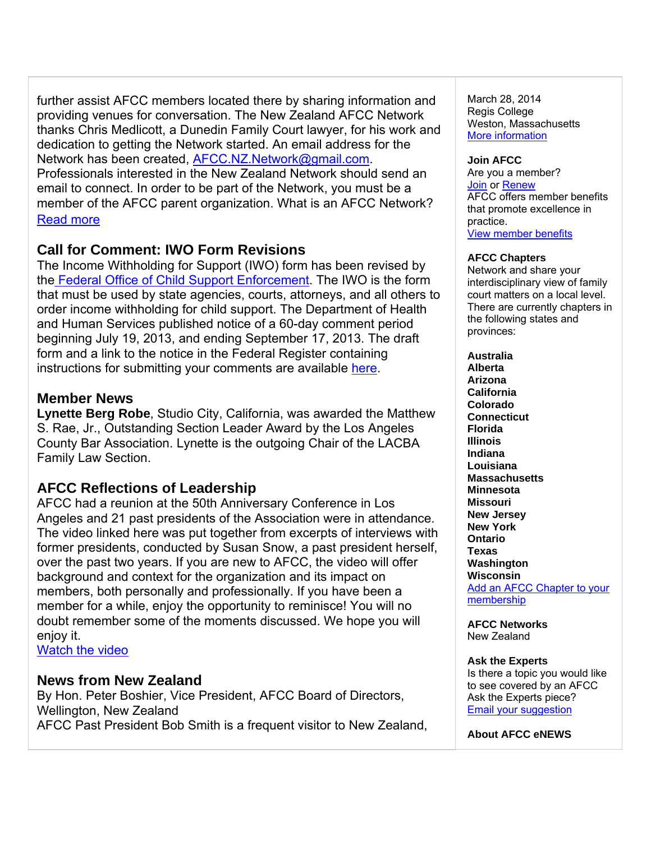further assist AFCC members located there by sharing information and providing venues for conversation. The New Zealand AFCC Network thanks Chris Medlicott, a Dunedin Family Court lawyer, for his work and dedication to getting the Network started. An email address for the Network has been created, AFCC.NZ.Network@gmail.com. Professionals interested in the New Zealand Network should send an email to connect. In order to be part of the Network, you must be a member of the AFCC parent organization. What is an AFCC Network? Read more

# **Call for Comment: IWO Form Revisions**

The Income Withholding for Support (IWO) form has been revised by the Federal Office of Child Support Enforcement. The IWO is the form that must be used by state agencies, courts, attorneys, and all others to order income withholding for child support. The Department of Health and Human Services published notice of a 60-day comment period beginning July 19, 2013, and ending September 17, 2013. The draft form and a link to the notice in the Federal Register containing instructions for submitting your comments are available here.

## **Member News**

**Lynette Berg Robe**, Studio City, California, was awarded the Matthew S. Rae, Jr., Outstanding Section Leader Award by the Los Angeles County Bar Association. Lynette is the outgoing Chair of the LACBA Family Law Section.

# **AFCC Reflections of Leadership**

AFCC had a reunion at the 50th Anniversary Conference in Los Angeles and 21 past presidents of the Association were in attendance. The video linked here was put together from excerpts of interviews with former presidents, conducted by Susan Snow, a past president herself, over the past two years. If you are new to AFCC, the video will offer background and context for the organization and its impact on members, both personally and professionally. If you have been a member for a while, enjoy the opportunity to reminisce! You will no doubt remember some of the moments discussed. We hope you will enjoy it.

Watch the video

## **News from New Zealand**

By Hon. Peter Boshier, Vice President, AFCC Board of Directors, Wellington, New Zealand AFCC Past President Bob Smith is a frequent visitor to New Zealand,

March 28, 2014 Regis College Weston, Massachusetts More information

### **Join AFCC**

Are you a member? Join or Renew AFCC offers member benefits that promote excellence in practice. View member benefits

### **AFCC Chapters**

Network and share your interdisciplinary view of family court matters on a local level. There are currently chapters in the following states and provinces:

**Australia Alberta Arizona California Colorado Connecticut Florida Illinois Indiana Louisiana Massachusetts Minnesota Missouri New Jersey New York Ontario Texas Washington Wisconsin**  Add an AFCC Chapter to your membership

**AFCC Networks**  New Zealand

### **Ask the Experts**

Is there a topic you would like to see covered by an AFCC Ask the Experts piece? Email your suggestion

**About AFCC eNEWS**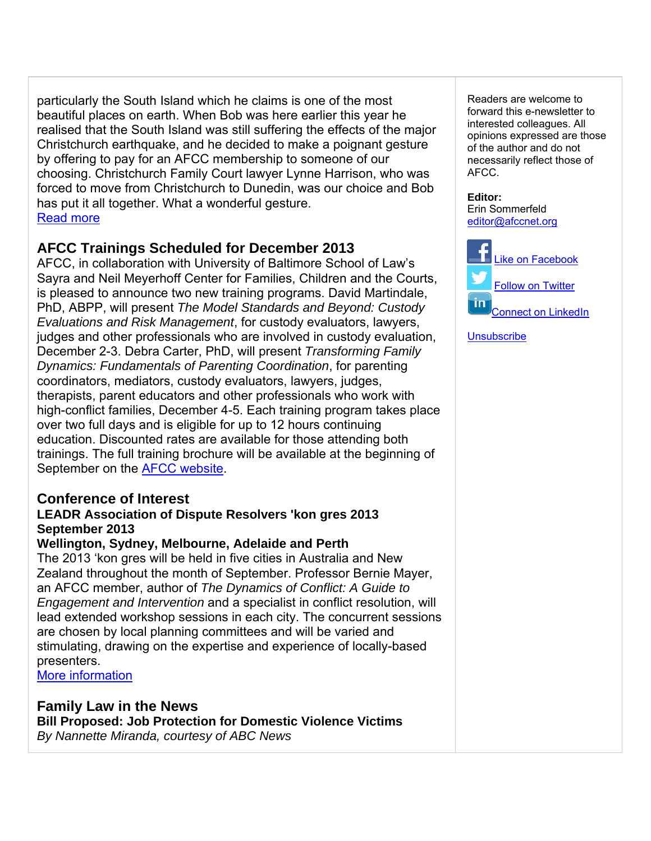particularly the South Island which he claims is one of the most beautiful places on earth. When Bob was here earlier this year he realised that the South Island was still suffering the effects of the major Christchurch earthquake, and he decided to make a poignant gesture by offering to pay for an AFCC membership to someone of our choosing. Christchurch Family Court lawyer Lynne Harrison, who was forced to move from Christchurch to Dunedin, was our choice and Bob has put it all together. What a wonderful gesture. Read more

# **AFCC Trainings Scheduled for December 2013**

AFCC, in collaboration with University of Baltimore School of Law's Sayra and Neil Meyerhoff Center for Families, Children and the Courts, is pleased to announce two new training programs. David Martindale, PhD, ABPP, will present *The Model Standards and Beyond: Custody Evaluations and Risk Management*, for custody evaluators, lawyers, judges and other professionals who are involved in custody evaluation, December 2-3. Debra Carter, PhD, will present *Transforming Family Dynamics: Fundamentals of Parenting Coordination*, for parenting coordinators, mediators, custody evaluators, lawyers, judges, therapists, parent educators and other professionals who work with high-conflict families, December 4-5. Each training program takes place over two full days and is eligible for up to 12 hours continuing education. Discounted rates are available for those attending both trainings. The full training brochure will be available at the beginning of September on the AFCC website.

# **Conference of Interest**

### **LEADR Association of Dispute Resolvers 'kon gres 2013 September 2013**

### **Wellington, Sydney, Melbourne, Adelaide and Perth**

The 2013 'kon gres will be held in five cities in Australia and New Zealand throughout the month of September. Professor Bernie Mayer, an AFCC member, author of *The Dynamics of Conflict: A Guide to Engagement and Intervention* and a specialist in conflict resolution, will lead extended workshop sessions in each city. The concurrent sessions are chosen by local planning committees and will be varied and stimulating, drawing on the expertise and experience of locally-based presenters.

More information

# **Family Law in the News**

**Bill Proposed: Job Protection for Domestic Violence Victims** *By Nannette Miranda, courtesy of ABC News*

Readers are welcome to forward this e-newsletter to interested colleagues. All opinions expressed are those of the author and do not necessarily reflect those of AFCC.

**Editor:**  Erin Sommerfeld editor@afccnet.org



**Unsubscribe**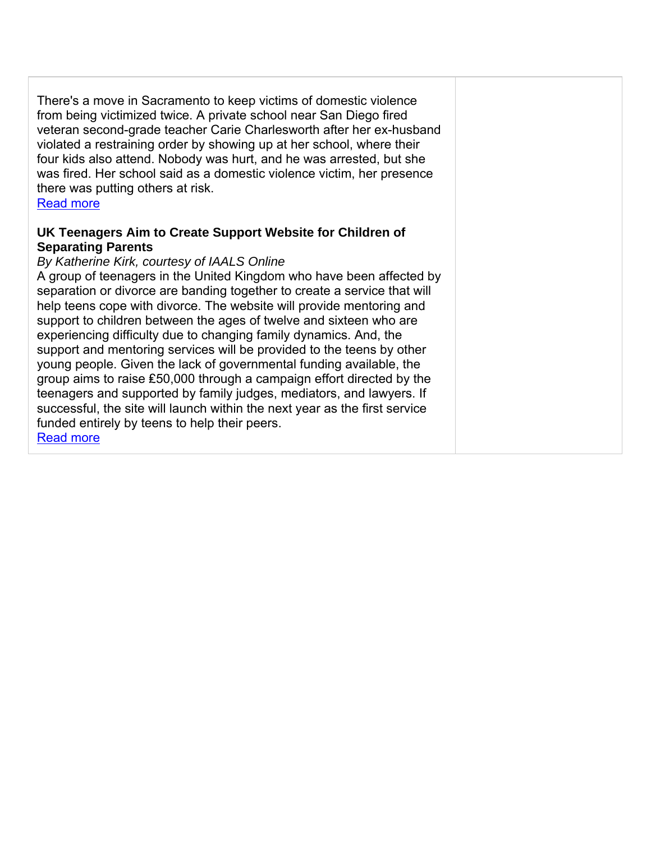There's a move in Sacramento to keep victims of domestic violence from being victimized twice. A private school near San Diego fired veteran second-grade teacher Carie Charlesworth after her ex-husband violated a restraining order by showing up at her school, where their four kids also attend. Nobody was hurt, and he was arrested, but she was fired. Her school said as a domestic violence victim, her presence there was putting others at risk.

### Read more

## **UK Teenagers Aim to Create Support Website for Children of Separating Parents**

### *By Katherine Kirk, courtesy of IAALS Online*

A group of teenagers in the United Kingdom who have been affected by separation or divorce are banding together to create a service that will help teens cope with divorce. The website will provide mentoring and support to children between the ages of twelve and sixteen who are experiencing difficulty due to changing family dynamics. And, the support and mentoring services will be provided to the teens by other young people. Given the lack of governmental funding available, the group aims to raise £50,000 through a campaign effort directed by the teenagers and supported by family judges, mediators, and lawyers. If successful, the site will launch within the next year as the first service funded entirely by teens to help their peers. Read more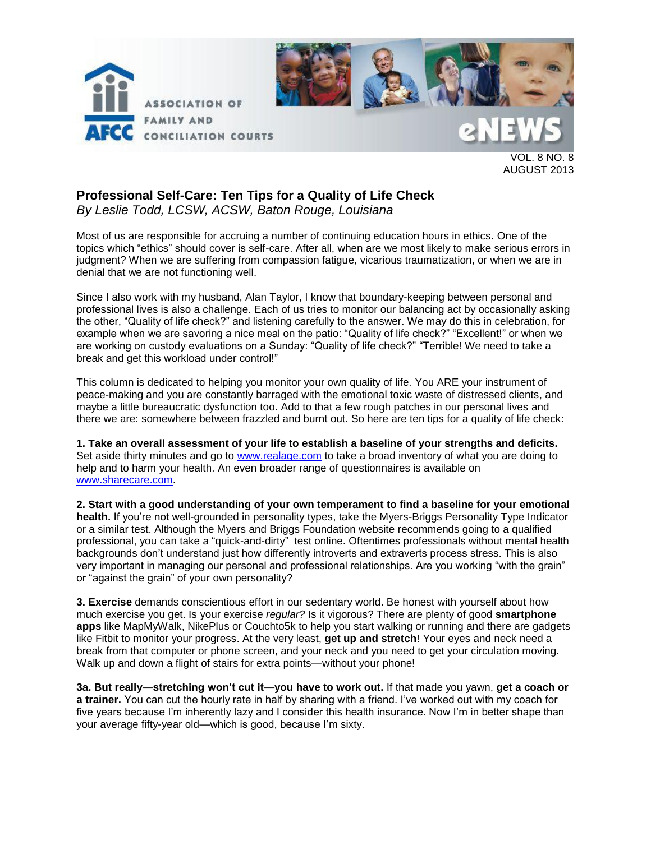



VOL. 8 NO. 8 AUGUST 2013

### **Professional Self-Care: Ten Tips for a Quality of Life Check**  *By Leslie Todd, LCSW, ACSW, Baton Rouge, Louisiana*

Most of us are responsible for accruing a number of continuing education hours in ethics. One of the topics which "ethics" should cover is self-care. After all, when are we most likely to make serious errors in judgment? When we are suffering from compassion fatigue, vicarious traumatization, or when we are in denial that we are not functioning well.

Since I also work with my husband, Alan Taylor, I know that boundary-keeping between personal and professional lives is also a challenge. Each of us tries to monitor our balancing act by occasionally asking the other, "Quality of life check?" and listening carefully to the answer. We may do this in celebration, for example when we are savoring a nice meal on the patio: "Quality of life check?" "Excellent!" or when we are working on custody evaluations on a Sunday: "Quality of life check?" "Terrible! We need to take a break and get this workload under control!"

This column is dedicated to helping you monitor your own quality of life. You ARE your instrument of peace-making and you are constantly barraged with the emotional toxic waste of distressed clients, and maybe a little bureaucratic dysfunction too. Add to that a few rough patches in our personal lives and there we are: somewhere between frazzled and burnt out. So here are ten tips for a quality of life check:

**1. Take an overall assessment of your life to establish a baseline of your strengths and deficits.** Set aside thirty minutes and go to [www.realage.com](http://www.realage.com/) to take a broad inventory of what you are doing to help and to harm your health. An even broader range of questionnaires is available on [www.sharecare.com.](http://www.sharecare.com/)

**2. Start with a good understanding of your own temperament to find a baseline for your emotional health.** If you're not well-grounded in personality types, take the Myers-Briggs Personality Type Indicator or a similar test. Although the Myers and Briggs Foundation website recommends going to a qualified professional, you can take a "quick-and-dirty" test online. Oftentimes professionals without mental health backgrounds don't understand just how differently introverts and extraverts process stress. This is also very important in managing our personal and professional relationships. Are you working "with the grain" or "against the grain" of your own personality?

**3. Exercise** demands conscientious effort in our sedentary world. Be honest with yourself about how much exercise you get. Is your exercise *regular?* Is it vigorous? There are plenty of good **smartphone apps** like MapMyWalk, NikePlus or Couchto5k to help you start walking or running and there are gadgets like Fitbit to monitor your progress. At the very least, **get up and stretch**! Your eyes and neck need a break from that computer or phone screen, and your neck and you need to get your circulation moving. Walk up and down a flight of stairs for extra points—without your phone!

**3a. But really—stretching won't cut it—you have to work out.** If that made you yawn, **get a coach or a trainer.** You can cut the hourly rate in half by sharing with a friend. I've worked out with my coach for five years because I'm inherently lazy and I consider this health insurance. Now I'm in better shape than your average fifty-year old—which is good, because I'm sixty.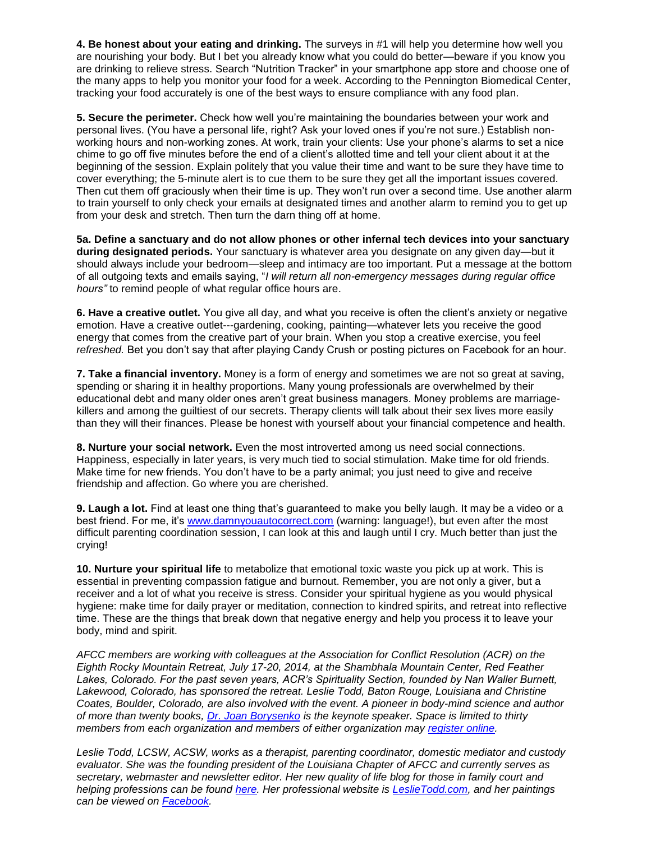**4. Be honest about your eating and drinking.** The surveys in #1 will help you determine how well you are nourishing your body. But I bet you already know what you could do better—beware if you know you are drinking to relieve stress. Search "Nutrition Tracker" in your smartphone app store and choose one of the many apps to help you monitor your food for a week. According to the Pennington Biomedical Center, tracking your food accurately is one of the best ways to ensure compliance with any food plan.

**5. Secure the perimeter.** Check how well you're maintaining the boundaries between your work and personal lives. (You have a personal life, right? Ask your loved ones if you're not sure.) Establish nonworking hours and non-working zones. At work, train your clients: Use your phone's alarms to set a nice chime to go off five minutes before the end of a client's allotted time and tell your client about it at the beginning of the session. Explain politely that you value their time and want to be sure they have time to cover everything; the 5-minute alert is to cue them to be sure they get all the important issues covered. Then cut them off graciously when their time is up. They won't run over a second time. Use another alarm to train yourself to only check your emails at designated times and another alarm to remind you to get up from your desk and stretch. Then turn the darn thing off at home.

**5a. Define a sanctuary and do not allow phones or other infernal tech devices into your sanctuary during designated periods.** Your sanctuary is whatever area you designate on any given day*—*but it should always include your bedroom—sleep and intimacy are too important. Put a message at the bottom of all outgoing texts and emails saying, "*I will return all non-emergency messages during regular office hours"* to remind people of what regular office hours are.

**6. Have a creative outlet.** You give all day, and what you receive is often the client's anxiety or negative emotion. Have a creative outlet---gardening, cooking, painting—whatever lets you receive the good energy that comes from the creative part of your brain. When you stop a creative exercise, you feel *refreshed.* Bet you don't say that after playing Candy Crush or posting pictures on Facebook for an hour.

**7. Take a financial inventory.** Money is a form of energy and sometimes we are not so great at saving, spending or sharing it in healthy proportions. Many young professionals are overwhelmed by their educational debt and many older ones aren't great business managers. Money problems are marriagekillers and among the guiltiest of our secrets. Therapy clients will talk about their sex lives more easily than they will their finances. Please be honest with yourself about your financial competence and health.

**8. Nurture your social network.** Even the most introverted among us need social connections. Happiness, especially in later years, is very much tied to social stimulation. Make time for old friends. Make time for new friends. You don't have to be a party animal; you just need to give and receive friendship and affection. Go where you are cherished.

**9. Laugh a lot.** Find at least one thing that's guaranteed to make you belly laugh. It may be a video or a best friend. For me, it's [www.damnyouautocorrect.com](http://www.damnyouautocorrect.com/) (warning: language!), but even after the most difficult parenting coordination session, I can look at this and laugh until I cry. Much better than just the crying!

**10. Nurture your spiritual life** to metabolize that emotional toxic waste you pick up at work. This is essential in preventing compassion fatigue and burnout. Remember, you are not only a giver, but a receiver and a lot of what you receive is stress. Consider your spiritual hygiene as you would physical hygiene: make time for daily prayer or meditation, connection to kindred spirits, and retreat into reflective time. These are the things that break down that negative energy and help you process it to leave your body, mind and spirit.

*AFCC members are working with colleagues at the Association for Conflict Resolution (ACR) on the Eighth Rocky Mountain Retreat, July 17-20, 2014, at the Shambhala Mountain Center, Red Feather*  Lakes, Colorado. For the past seven years, ACR's Spirituality Section, founded by Nan Waller Burnett, Lakewood, Colorado, has sponsored the retreat. Leslie Todd, Baton Rouge, Louisiana and Christine *Coates, Boulder, Colorado, are also involved with the event. A pioneer in body-mind science and author of more than twenty books, [Dr. Joan Borysenko](http://www.youtube.com/watch?v=V4H6RNQp6Xk&noredirect=1) is the keynote speaker. Space is limited to thirty members from each organization and members of either organization may [register online.](http://impak.acrnet.org/members_online/registration/register.asp?mt=ACRSS14&af=ACR)* 

*Leslie Todd, LCSW, ACSW, works as a therapist, parenting coordinator, domestic mediator and custody evaluator. She was the founding president of the Louisiana Chapter of AFCC and currently serves as secretary, webmaster and newsletter editor. Her new quality of life blog for those in family court and helping professions can be found [here.](http://www.leslietoddlcsw.wordpress.com/) Her professional website is [LeslieTodd.com,](http://leslietodd.com/) and her paintings can be viewed on [Facebook.](http://www.facebook.com/Leslie.Todd.Art)*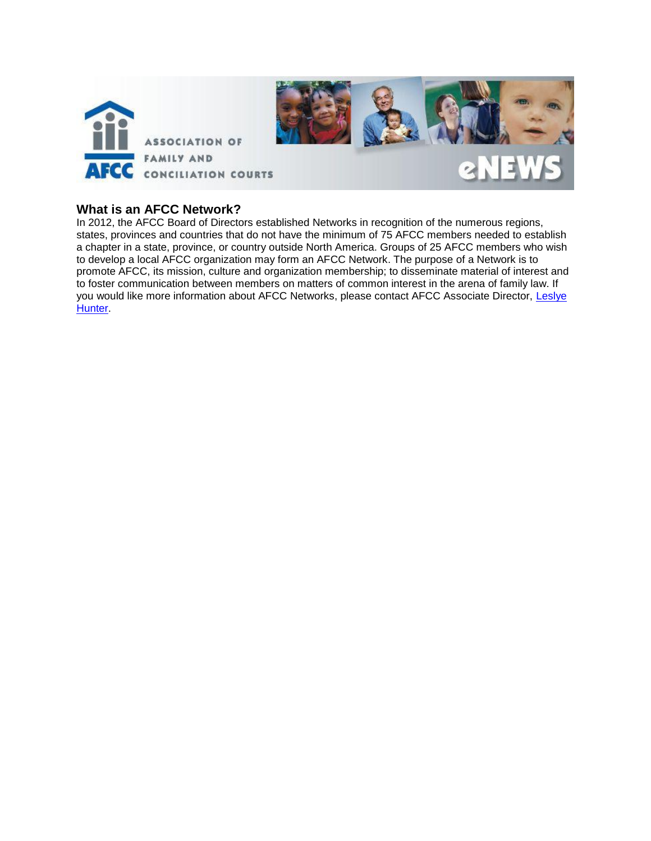

### **What is an AFCC Network?**

In 2012, the AFCC Board of Directors established Networks in recognition of the numerous regions, states, provinces and countries that do not have the minimum of 75 AFCC members needed to establish a chapter in a state, province, or country outside North America. Groups of 25 AFCC members who wish to develop a local AFCC organization may form an AFCC Network. The purpose of a Network is to promote AFCC, its mission, culture and organization membership; to disseminate material of interest and to foster communication between members on matters of common interest in the arena of family law. If you would like more information about AFCC Networks, please contact AFCC Associate Director, Leslye **Hunter**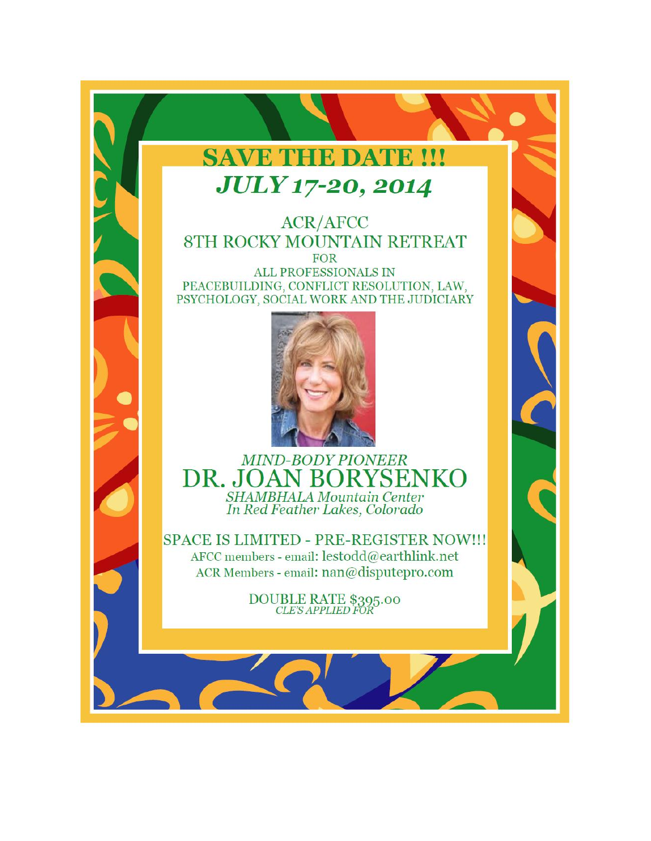